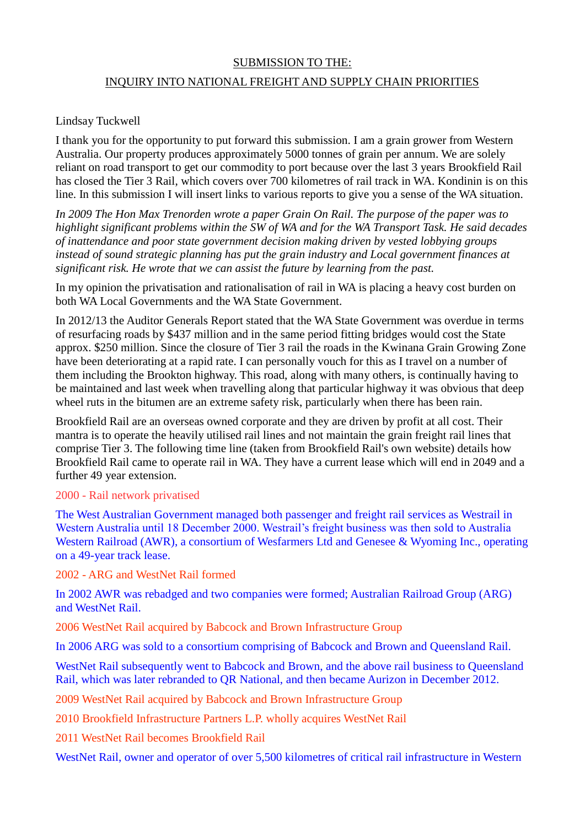## SUBMISSION TO THE:

## INQUIRY INTO NATIONAL FREIGHT AND SUPPLY CHAIN PRIORITIES

## Lindsay Tuckwell

I thank you for the opportunity to put forward this submission. I am a grain grower from Western Australia. Our property produces approximately 5000 tonnes of grain per annum. We are solely reliant on road transport to get our commodity to port because over the last 3 years Brookfield Rail has closed the Tier 3 Rail, which covers over 700 kilometres of rail track in WA. Kondinin is on this line. In this submission I will insert links to various reports to give you a sense of the WA situation.

*In 2009 The Hon Max Trenorden wrote a paper Grain On Rail. The purpose of the paper was to highlight significant problems within the SW of WA and for the WA Transport Task. He said decades of inattendance and poor state government decision making driven by vested lobbying groups instead of sound strategic planning has put the grain industry and Local government finances at significant risk. He wrote that we can assist the future by learning from the past.*

In my opinion the privatisation and rationalisation of rail in WA is placing a heavy cost burden on both WA Local Governments and the WA State Government.

In 2012/13 the Auditor Generals Report stated that the WA State Government was overdue in terms of resurfacing roads by \$437 million and in the same period fitting bridges would cost the State approx. \$250 million. Since the closure of Tier 3 rail the roads in the Kwinana Grain Growing Zone have been deteriorating at a rapid rate. I can personally vouch for this as I travel on a number of them including the Brookton highway. This road, along with many others, is continually having to be maintained and last week when travelling along that particular highway it was obvious that deep wheel ruts in the bitumen are an extreme safety risk, particularly when there has been rain.

Brookfield Rail are an overseas owned corporate and they are driven by profit at all cost. Their mantra is to operate the heavily utilised rail lines and not maintain the grain freight rail lines that comprise Tier 3. The following time line (taken from Brookfield Rail's own website) details how Brookfield Rail came to operate rail in WA. They have a current lease which will end in 2049 and a further 49 year extension.

## 2000 - Rail network privatised

The West Australian Government managed both passenger and freight rail services as Westrail in Western Australia until 18 December 2000. Westrail's freight business was then sold to Australia Western Railroad (AWR), a consortium of Wesfarmers Ltd and Genesee & Wyoming Inc., operating on a 49-year track lease.

2002 - ARG and WestNet Rail formed

In 2002 AWR was rebadged and two companies were formed; Australian Railroad Group (ARG) and WestNet Rail.

2006 WestNet Rail acquired by Babcock and Brown Infrastructure Group

In 2006 ARG was sold to a consortium comprising of Babcock and Brown and Queensland Rail.

WestNet Rail subsequently went to Babcock and Brown, and the above rail business to Queensland Rail, which was later rebranded to QR National, and then became Aurizon in December 2012.

2009 WestNet Rail acquired by Babcock and Brown Infrastructure Group

2010 Brookfield Infrastructure Partners L.P. wholly acquires WestNet Rail

2011 WestNet Rail becomes Brookfield Rail

WestNet Rail, owner and operator of over 5,500 kilometres of critical rail infrastructure in Western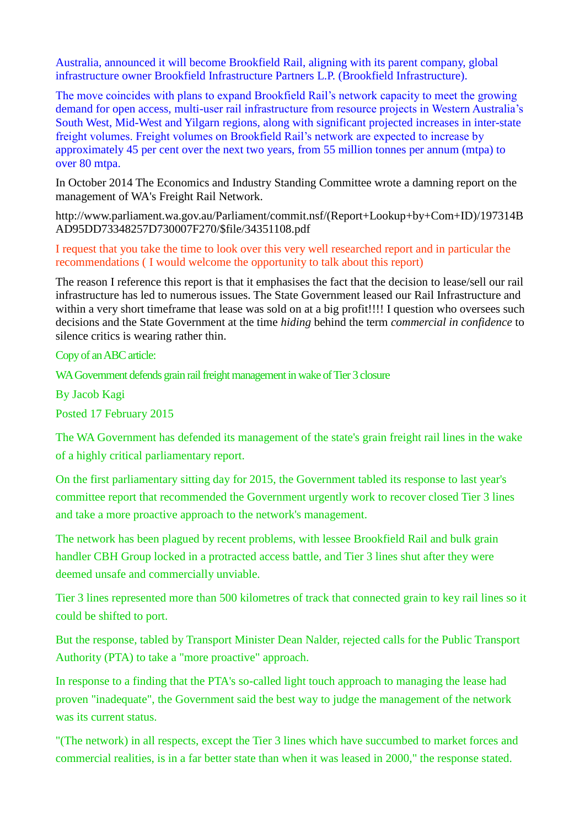Australia, announced it will become Brookfield Rail, aligning with its parent company, global infrastructure owner Brookfield Infrastructure Partners L.P. (Brookfield Infrastructure).

The move coincides with plans to expand Brookfield Rail's network capacity to meet the growing demand for open access, multi-user rail infrastructure from resource projects in Western Australia's South West, Mid-West and Yilgarn regions, along with significant projected increases in inter-state freight volumes. Freight volumes on Brookfield Rail's network are expected to increase by approximately 45 per cent over the next two years, from 55 million tonnes per annum (mtpa) to over 80 mtpa.

In October 2014 The Economics and Industry Standing Committee wrote a damning report on the management of WA's Freight Rail Network.

[http://www.parliament.wa.gov.au/Parliament/commit.nsf/\(Report+Lookup+by+Com+ID\)/197314B](http://www.parliament.wa.gov.au/Parliament/commit.nsf/(Report+Lookup+by+Com+ID)/197314BAD95DD73348257D730007F270/$file/34351108.pdf) [AD95DD73348257D730007F270/\\$file/34351108.pdf](http://www.parliament.wa.gov.au/Parliament/commit.nsf/(Report+Lookup+by+Com+ID)/197314BAD95DD73348257D730007F270/$file/34351108.pdf)

I request that you take the time to look over this very well researched report and in particular the recommendations ( I would welcome the opportunity to talk about this report)

The reason I reference this report is that it emphasises the fact that the decision to lease/sell our rail infrastructure has led to numerous issues. The State Government leased our Rail Infrastructure and within a very short timeframe that lease was sold on at a big profit!!!! I question who oversees such decisions and the State Government at the time *hiding* behind the term *commercial in confidence* to silence critics is wearing rather thin.

Copy of an ABC article:

WA Government defends grain rail freight management in wake of Tier 3 closure

By [Jacob Kagi](http://www.abc.net.au/news/jacob-kagi/4421098)

Posted 17 February 2015

The WA Government has defended its management of the state's grain freight rail lines in the wake of a highly critical parliamentary report.

On the first parliamentary sitting day for 2015, the Government tabled its response to last year's committee report that recommended the Government urgently work to recover closed Tier 3 lines and take a more proactive approach to the network's management.

The network has been plagued by recent problems, with lessee Brookfield Rail and bulk grain handler CBH Group locked in a protracted access battle, and Tier 3 lines shut after they were deemed unsafe and commercially unviable.

Tier 3 lines represented more than 500 kilometres of track that connected grain to key rail lines so it could be shifted to port.

But the response, tabled by Transport Minister Dean Nalder, rejected calls for the Public Transport Authority (PTA) to take a "more proactive" approach.

In response to a finding that the PTA's so-called light touch approach to managing the lease had proven "inadequate", the Government said the best way to judge the management of the network was its current status.

"(The network) in all respects, except the Tier 3 lines which have succumbed to market forces and commercial realities, is in a far better state than when it was leased in 2000," the response stated.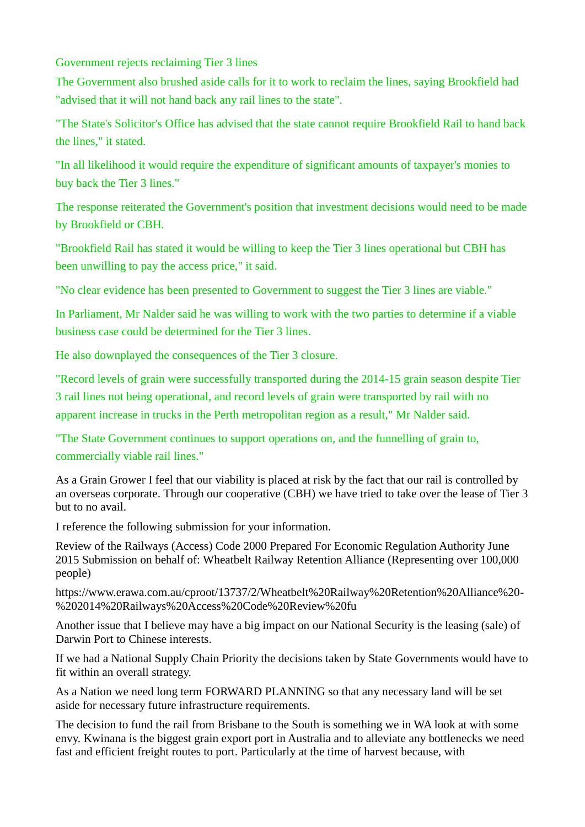Government rejects reclaiming Tier 3 lines

The Government also brushed aside calls for it to work to reclaim the lines, saying Brookfield had "advised that it will not hand back any rail lines to the state".

"The State's Solicitor's Office has advised that the state cannot require Brookfield Rail to hand back the lines," it stated.

"In all likelihood it would require the expenditure of significant amounts of taxpayer's monies to buy back the Tier 3 lines."

The response reiterated the Government's position that investment decisions would need to be made by Brookfield or CBH.

"Brookfield Rail has stated it would be willing to keep the Tier 3 lines operational but CBH has been unwilling to pay the access price," it said.

"No clear evidence has been presented to Government to suggest the Tier 3 lines are viable."

In Parliament, Mr Nalder said he was willing to work with the two parties to determine if a viable business case could be determined for the Tier 3 lines.

He also downplayed the consequences of the Tier 3 closure.

"Record levels of grain were successfully transported during the 2014-15 grain season despite Tier 3 rail lines not being operational, and record levels of grain were transported by rail with no apparent increase in trucks in the Perth metropolitan region as a result," Mr Nalder said.

"The State Government continues to support operations on, and the funnelling of grain to, commercially viable rail lines."

As a Grain Grower I feel that our viability is placed at risk by the fact that our rail is controlled by an overseas corporate. Through our cooperative (CBH) we have tried to take over the lease of Tier 3 but to no avail.

I reference the following submission for your information.

Review of the Railways (Access) Code 2000 Prepared For Economic Regulation Authority June 2015 Submission on behalf of: Wheatbelt Railway Retention Alliance (Representing over 100,000 people)

[https://www.erawa.com.au/cproot/13737/2/Wheatbelt%20Railway%20Retention%20Alliance%20-](https://www.erawa.com.au/cproot/13737/2/Wheatbelt%20Railway%20Retention%20Alliance%20-%202014%20Railways%20Access%20Code%20Review%20fu) [%202014%20Railways%20Access%20Code%20Review%20fu](https://www.erawa.com.au/cproot/13737/2/Wheatbelt%20Railway%20Retention%20Alliance%20-%202014%20Railways%20Access%20Code%20Review%20fu)

Another issue that I believe may have a big impact on our National Security is the leasing (sale) of Darwin Port to Chinese interests.

If we had a National Supply Chain Priority the decisions taken by State Governments would have to fit within an overall strategy.

As a Nation we need long term FORWARD PLANNING so that any necessary land will be set aside for necessary future infrastructure requirements.

The decision to fund the rail from Brisbane to the South is something we in WA look at with some envy. Kwinana is the biggest grain export port in Australia and to alleviate any bottlenecks we need fast and efficient freight routes to port. Particularly at the time of harvest because, with